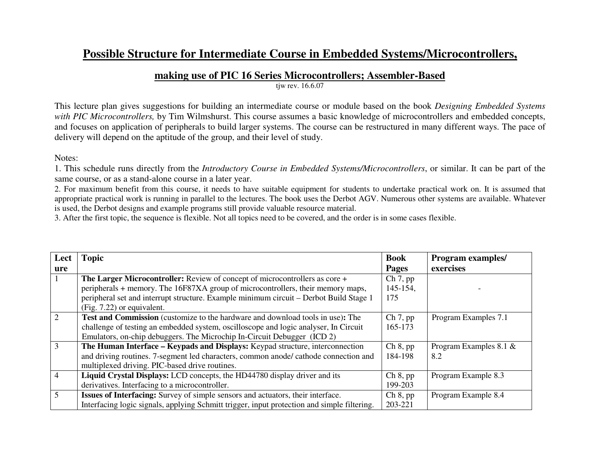## **Possible Structure for Intermediate Course in Embedded Systems/Microcontrollers,**

## **making use of PIC 16 Series Microcontrollers; Assembler-Based**

tjw rev. 16.6.07

This lecture plan gives suggestions for building an intermediate course or module based on the book *Designing Embedded Systems with PIC Microcontrollers,* by Tim Wilmshurst. This course assumes a basic knowledge of microcontrollers and embedded concepts, and focuses on application of peripherals to build larger systems. The course can be restructured in many different ways. The pace of delivery will depend on the aptitude of the group, and their level of study.

Notes:

1. This schedule runs directly from the *Introductory Course in Embedded Systems/Microcontrollers*, or similar. It can be part of the same course, or as a stand-alone course in a later year.

 2. For maximum benefit from this course, it needs to have suitable equipment for students to undertake practical work on. It is assumed that appropriate practical work is running in parallel to the lectures. The book uses the Derbot AGV. Numerous other systems are available. Whatever is used, the Derbot designs and example programs still provide valuable resource material.

3. After the first topic, the sequence is flexible. Not all topics need to be covered, and the order is in some cases flexible.

| Lect           | <b>Topic</b>                                                                                | <b>Book</b>  | <b>Program examples/</b>  |
|----------------|---------------------------------------------------------------------------------------------|--------------|---------------------------|
| ure            |                                                                                             | <b>Pages</b> | exercises                 |
|                | The Larger Microcontroller: Review of concept of microcontrollers as core +                 | Ch 7, pp     |                           |
|                | peripherals + memory. The 16F87XA group of microcontrollers, their memory maps,             | 145-154,     |                           |
|                | peripheral set and interrupt structure. Example minimum circuit – Derbot Build Stage 1      | 175          |                           |
|                | (Fig. 7.22) or equivalent.                                                                  |              |                           |
| 2              | <b>Test and Commission</b> (customize to the hardware and download tools in use): The       | Ch 7, pp     | Program Examples 7.1      |
|                | challenge of testing an embedded system, oscilloscope and logic analyser, In Circuit        | 165-173      |                           |
|                | Emulators, on-chip debuggers. The Microchip In-Circuit Debugger (ICD 2)                     |              |                           |
| 3              | The Human Interface – Keypads and Displays: Keypad structure, interconnection               | Ch 8, pp     | Program Examples 8.1 $\&$ |
|                | and driving routines. 7-segment led characters, common anode/ cathode connection and        | 184-198      | 8.2                       |
|                | multiplexed driving. PIC-based drive routines.                                              |              |                           |
| $\overline{4}$ | Liquid Crystal Displays: LCD concepts, the HD44780 display driver and its                   | Ch 8, pp     | Program Example 8.3       |
|                | derivatives. Interfacing to a microcontroller.                                              | 199-203      |                           |
| 5              | Issues of Interfacing: Survey of simple sensors and actuators, their interface.             | Ch 8, pp     | Program Example 8.4       |
|                | Interfacing logic signals, applying Schmitt trigger, input protection and simple filtering. | 203-221      |                           |